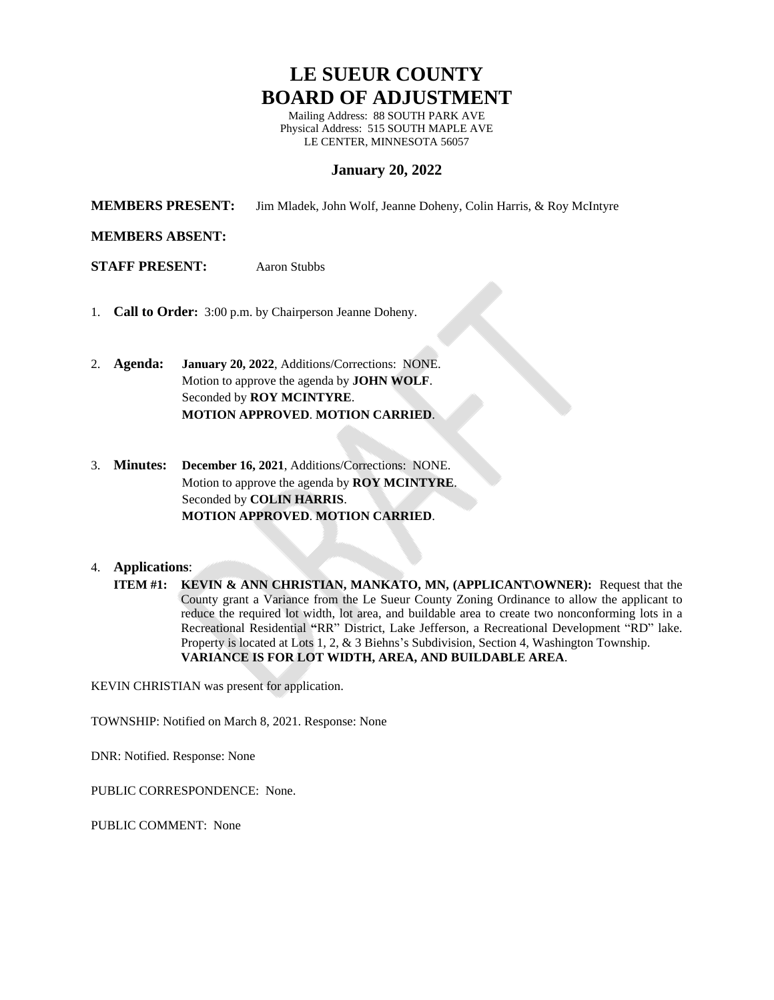# **LE SUEUR COUNTY BOARD OF ADJUSTMENT**

Mailing Address: 88 SOUTH PARK AVE Physical Address: 515 SOUTH MAPLE AVE LE CENTER, MINNESOTA 56057

# **January 20, 2022**

**MEMBERS PRESENT:** Jim Mladek, John Wolf, Jeanne Doheny, Colin Harris, & Roy McIntyre

## **MEMBERS ABSENT:**

**STAFF PRESENT:** Aaron Stubbs

- 1. **Call to Order:** 3:00 p.m. by Chairperson Jeanne Doheny.
- 2. **Agenda: January 20, 2022**, Additions/Corrections: NONE. Motion to approve the agenda by **JOHN WOLF**. Seconded by **ROY MCINTYRE**. **MOTION APPROVED**. **MOTION CARRIED**.
- 3. **Minutes: December 16, 2021**, Additions/Corrections: NONE. Motion to approve the agenda by **ROY MCINTYRE**. Seconded by **COLIN HARRIS**. **MOTION APPROVED**. **MOTION CARRIED**.

#### 4. **Applications**:

KEVIN CHRISTIAN was present for application.

TOWNSHIP: Notified on March 8, 2021. Response: None

DNR: Notified. Response: None

PUBLIC CORRESPONDENCE: None.

PUBLIC COMMENT: None

**ITEM #1: KEVIN & ANN CHRISTIAN, MANKATO, MN, (APPLICANT\OWNER):** Request that the County grant a Variance from the Le Sueur County Zoning Ordinance to allow the applicant to reduce the required lot width, lot area, and buildable area to create two nonconforming lots in a Recreational Residential **"**RR" District, Lake Jefferson, a Recreational Development "RD" lake. Property is located at Lots 1, 2, & 3 Biehns's Subdivision, Section 4, Washington Township. **VARIANCE IS FOR LOT WIDTH, AREA, AND BUILDABLE AREA**.